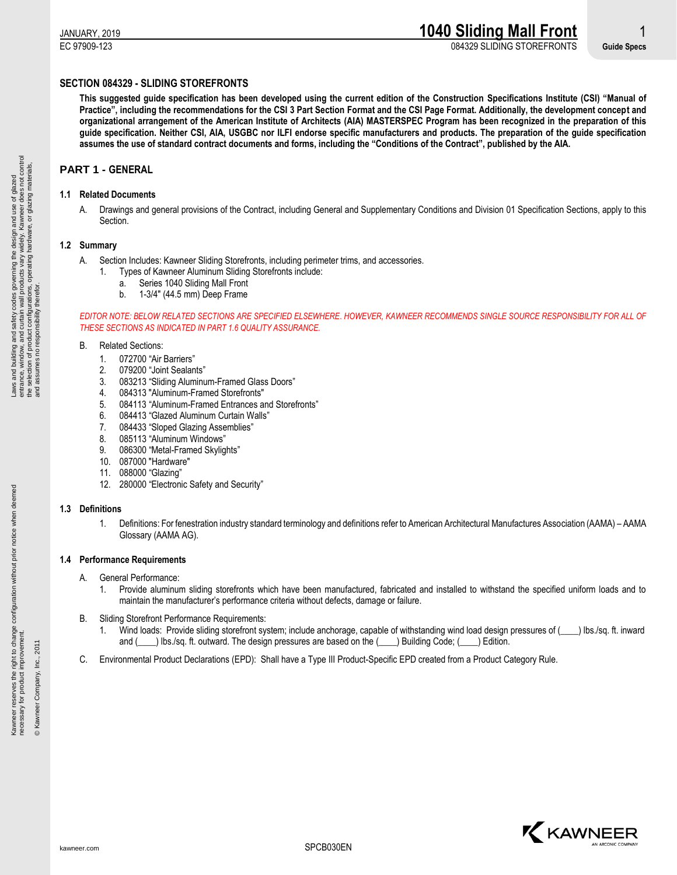EC 97909-123 084329 SLIDING STOREFRONTS **Guide Specs**

# **SECTION 084329 - SLIDING STOREFRONTS**

**This suggested guide specification has been developed using the current edition of the Construction Specifications Institute (CSI) "Manual of Practice", including the recommendations for the CSI 3 Part Section Format and the CSI Page Format. Additionally, the development concept and organizational arrangement of the American Institute of Architects (AIA) MASTERSPEC Program has been recognized in the preparation of this guide specification. Neither CSI, AIA, USGBC nor ILFI endorse specific manufacturers and products. The preparation of the guide specification assumes the use of standard contract documents and forms, including the "Conditions of the Contract", published by the AIA.**

# **PART 1 - GENERAL**

## **1.1 Related Documents**

A. Drawings and general provisions of the Contract, including General and Supplementary Conditions and Division 01 Specification Sections, apply to this Section.

## **1.2 Summary**

- A. Section Includes: Kawneer Sliding Storefronts, including perimeter trims, and accessories.
	- 1. Types of Kawneer Aluminum Sliding Storefronts include:
		- a. Series 1040 Sliding Mall Front
			- b. 1-3/4" (44.5 mm) Deep Frame

*EDITOR NOTE: BELOW RELATED SECTIONS ARE SPECIFIED ELSEWHERE. HOWEVER, KAWNEER RECOMMENDS SINGLE SOURCE RESPONSIBILITY FOR ALL OF THESE SECTIONS AS INDICATED IN PART 1.6 QUALITY ASSURANCE.*

## B. Related Sections:

- 1. 072700 "Air Barriers"
- 2. 079200 "Joint Sealants"
- 3. 083213 "Sliding Aluminum-Framed Glass Doors"
- 4. 084313 "Aluminum-Framed Storefronts"
- 5. 084113 "Aluminum-Framed Entrances and Storefronts"
- 6. 084413 "Glazed Aluminum Curtain Walls"
- 7. 084433 "Sloped Glazing Assemblies"
- 8. 085113 "Aluminum Windows"
- 9. 086300 "Metal-Framed Skylights"
- 10. 087000 "Hardware"
- 11. 088000 "Glazing"
- 12. 280000 "Electronic Safety and Security"

### **1.3 Definitions**

1. Definitions: For fenestration industry standard terminology and definitions refer to American Architectural Manufactures Association (AAMA) – AAMA Glossary (AAMA AG).

### **1.4 Performance Requirements**

- A. General Performance:
	- 1. Provide aluminum sliding storefronts which have been manufactured, fabricated and installed to withstand the specified uniform loads and to maintain the manufacturer's performance criteria without defects, damage or failure.
- B. Sliding Storefront Performance Requirements:
	- 1. Wind loads: Provide sliding storefront system; include anchorage, capable of withstanding wind load design pressures of (\_\_\_\_) lbs./sq. ft. inward and () lbs./sq. ft. outward. The design pressures are based on the () Building Code; () Edition.
- C. Environmental Product Declarations (EPD): Shall have a Type III Product-Specific EPD created from a Product Category Rule.

© Kawneer Company, Inc., 2011

© Kawneer Company, Inc., 2011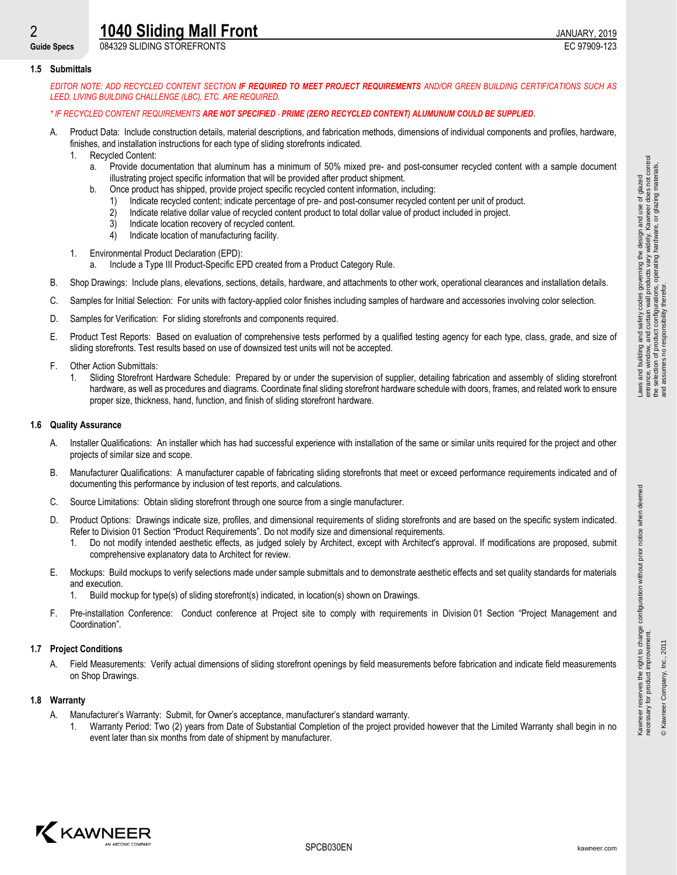# **2 1040 Sliding Mall Front 1040 Sliding Mall Front**

**Guide Specs** 084329 SLIDING STOREFRONTS EC 97909-123

### **1.5 Submittals**

*EDITOR NOTE: ADD RECYCLED CONTENT SECTION IF REQUIRED TO MEET PROJECT REQUIREMENTS AND/OR GREEN BUILDING CERTIFICATIONS SUCH AS LEED, LIVING BUILDING CHALLENGE (LBC), ETC. ARE REQUIRED.*

## *\* IF RECYCLED CONTENT REQUIREMENTS ARE NOT SPECIFIED PRIME (ZERO RECYCLED CONTENT) ALUMUNUM COULD BE SUPPLIED.*

- A. Product Data: Include construction details, material descriptions, and fabrication methods, dimensions of individual components and profiles, hardware, finishes, and installation instructions for each type of sliding storefronts indicated.
	- 1. Recycled Content:
		- a. Provide documentation that aluminum has a minimum of 50% mixed pre- and post-consumer recycled content with a sample document illustrating project specific information that will be provided after product shipment.
		- Once product has shipped, provide project specific recycled content information, including:
			- 1) Indicate recycled content; indicate percentage of pre- and post-consumer recycled content per unit of product.
			- 2) Indicate relative dollar value of recycled content product to total dollar value of product included in project.
			- 3) Indicate location recovery of recycled content.
			- 4) Indicate location of manufacturing facility.
	- 1. Environmental Product Declaration (EPD):
		- a. Include a Type III Product-Specific EPD created from a Product Category Rule.
- B. Shop Drawings: Include plans, elevations, sections, details, hardware, and attachments to other work, operational clearances and installation details.
- C. Samples for Initial Selection: For units with factory-applied color finishes including samples of hardware and accessories involving color selection.
- D. Samples for Verification: For sliding storefronts and components required.
- E. Product Test Reports: Based on evaluation of comprehensive tests performed by a qualified testing agency for each type, class, grade, and size of sliding storefronts. Test results based on use of downsized test units will not be accepted.
- F. Other Action Submittals:
	- 1. Sliding Storefront Hardware Schedule: Prepared by or under the supervision of supplier, detailing fabrication and assembly of sliding storefront hardware, as well as procedures and diagrams. Coordinate final sliding storefront hardware schedule with doors, frames, and related work to ensure proper size, thickness, hand, function, and finish of sliding storefront hardware.

### **1.6 Quality Assurance**

- A. Installer Qualifications: An installer which has had successful experience with installation of the same or similar units required for the project and other projects of similar size and scope.
- B. Manufacturer Qualifications: A manufacturer capable of fabricating sliding storefronts that meet or exceed performance requirements indicated and of documenting this performance by inclusion of test reports, and calculations.
- C. Source Limitations: Obtain sliding storefront through one source from a single manufacturer.
- D. Product Options: Drawings indicate size, profiles, and dimensional requirements of sliding storefronts and are based on the specific system indicated. Refer to Division 01 Section "Product Requirements". Do not modify size and dimensional requirements.
	- 1. Do not modify intended aesthetic effects, as judged solely by Architect, except with Architect's approval. If modifications are proposed, submit comprehensive explanatory data to Architect for review.
- E. Mockups: Build mockups to verify selections made under sample submittals and to demonstrate aesthetic effects and set quality standards for materials and execution.
	- 1. Build mockup for type(s) of sliding storefront(s) indicated, in location(s) shown on Drawings.
- F. Pre-installation Conference: Conduct conference at Project site to comply with requirements in Division 01 Section "Project Management and Coordination".

### **1.7 Project Conditions**

A. Field Measurements: Verify actual dimensions of sliding storefront openings by field measurements before fabrication and indicate field measurements on Shop Drawings.

### **1.8 Warranty**

- A. Manufacturer's Warranty: Submit, for Owner's acceptance, manufacturer's standard warranty.
	- 1. Warranty Period: Two (2) years from Date of Substantial Completion of the project provided however that the Limited Warranty shall begin in no event later than six months from date of shipment by manufacturer.

Kawneer reserves the right to change configuration without prior notice when deemed

Kawneer reserves the right to change configuration without prior notice when deemed<br>necessary for product improvement.

necessary for product improvement. © Kawneer Company, Inc., 2011

® Kawneer Company, Inc., 201

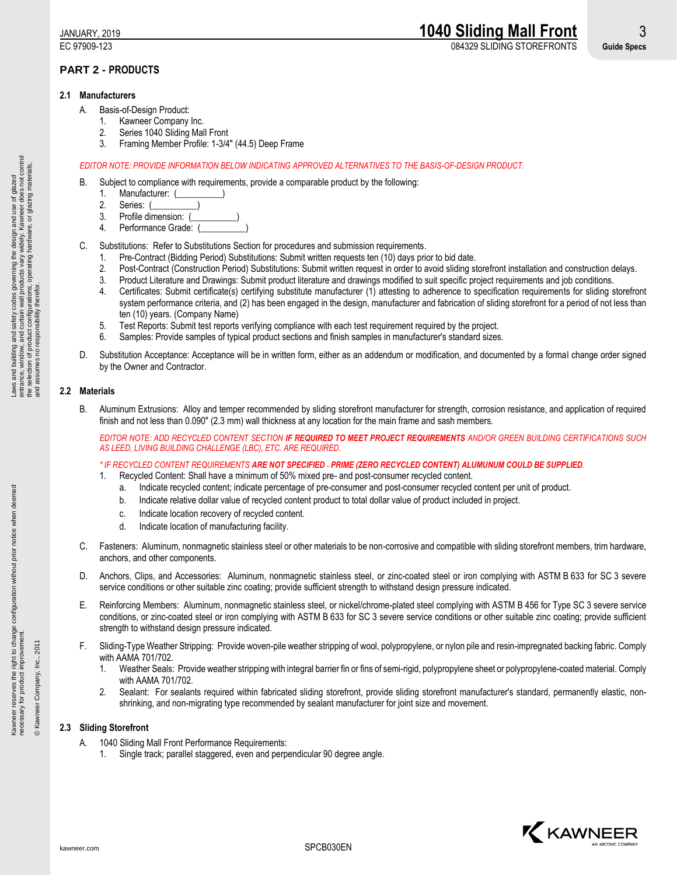EC 97909-123 084329 SLIDING STOREFRONTS **Guide Specs**

# **PART 2 - PRODUCTS**

## **2.1 Manufacturers**

- A. Basis-of-Design Product:
	- 1. Kawneer Company Inc.
	- 2. Series 1040 Sliding Mall Front
	- 3. Framing Member Profile: 1-3/4" (44.5) Deep Frame

## *EDITOR NOTE: PROVIDE INFORMATION BELOW INDICATING APPROVED ALTERNATIVES TO THE BASIS-OF-DESIGN PRODUCT.*

- B. Subject to compliance with requirements, provide a comparable product by the following:
	- 1. Manufacturer: (
	- 2. Series: (
	- 3. Profile dimension:
	- 4. Performance Grade: (
- C. Substitutions: Refer to Substitutions Section for procedures and submission requirements.
	- 1. Pre-Contract (Bidding Period) Substitutions: Submit written requests ten (10) days prior to bid date.
	- 2. Post-Contract (Construction Period) Substitutions: Submit written request in order to avoid sliding storefront installation and construction delays.
	- 3. Product Literature and Drawings: Submit product literature and drawings modified to suit specific project requirements and job conditions.
	- 4. Certificates: Submit certificate(s) certifying substitute manufacturer (1) attesting to adherence to specification requirements for sliding storefront system performance criteria, and (2) has been engaged in the design, manufacturer and fabrication of sliding storefront for a period of not less than ten (10) years. (Company Name)
	- 5. Test Reports: Submit test reports verifying compliance with each test requirement required by the project.
	- 6. Samples: Provide samples of typical product sections and finish samples in manufacturer's standard sizes.
- D. Substitution Acceptance: Acceptance will be in written form, either as an addendum or modification, and documented by a formal change order signed by the Owner and Contractor.

# **2.2 Materials**

B. Aluminum Extrusions: Alloy and temper recommended by sliding storefront manufacturer for strength, corrosion resistance, and application of required finish and not less than 0.090" (2.3 mm) wall thickness at any location for the main frame and sash members.

*EDITOR NOTE: ADD RECYCLED CONTENT SECTION IF REQUIRED TO MEET PROJECT REQUIREMENTS AND/OR GREEN BUILDING CERTIFICATIONS SUCH AS LEED, LIVING BUILDING CHALLENGE (LBC), ETC. ARE REQUIRED.*

# *\* IF RECYCLED CONTENT REQUIREMENTS ARE NOT SPECIFIED PRIME (ZERO RECYCLED CONTENT) ALUMUNUM COULD BE SUPPLIED.*

- 1. Recycled Content: Shall have a minimum of 50% mixed pre- and post-consumer recycled content.
	- a. Indicate recycled content; indicate percentage of pre-consumer and post-consumer recycled content per unit of product.
	- b. Indicate relative dollar value of recycled content product to total dollar value of product included in project.
	- c. Indicate location recovery of recycled content.
	- d. Indicate location of manufacturing facility.
- C. Fasteners: Aluminum, nonmagnetic stainless steel or other materials to be non-corrosive and compatible with sliding storefront members, trim hardware, anchors, and other components.
- D. Anchors, Clips, and Accessories: Aluminum, nonmagnetic stainless steel, or zinc-coated steel or iron complying with ASTM B 633 for SC 3 severe service conditions or other suitable zinc coating; provide sufficient strength to withstand design pressure indicated.
- E. Reinforcing Members: Aluminum, nonmagnetic stainless steel, or nickel/chrome-plated steel complying with ASTM B 456 for Type SC 3 severe service conditions, or zinc-coated steel or iron complying with ASTM B 633 for SC 3 severe service conditions or other suitable zinc coating; provide sufficient strength to withstand design pressure indicated.
- F. Sliding-Type Weather Stripping: Provide woven-pile weather stripping of wool, polypropylene, or nylon pile and resin-impregnated backing fabric. Comply with AAMA 701/702.
	- 1. Weather Seals: Provide weather stripping with integral barrier fin or fins of semi-rigid, polypropylene sheet or polypropylene-coated material. Comply with AAMA 701/702.
	- 2. Sealant: For sealants required within fabricated sliding storefront, provide sliding storefront manufacturer's standard, permanently elastic, nonshrinking, and non-migrating type recommended by sealant manufacturer for joint size and movement.

# **2.3 Sliding Storefront**

- A. 1040 Sliding Mall Front Performance Requirements:
	- 1. Single track; parallel staggered, even and perpendicular 90 degree angle.



Kawneer reserves the right to change configuration without prior notice when deemed

Kawneer reserves the right to change configuration without prior notice when deemed<br>necessary for product improvement.

necessary for product improvement. © Kawneer Company, Inc., 2011

© Kawneer Company, Inc., 2011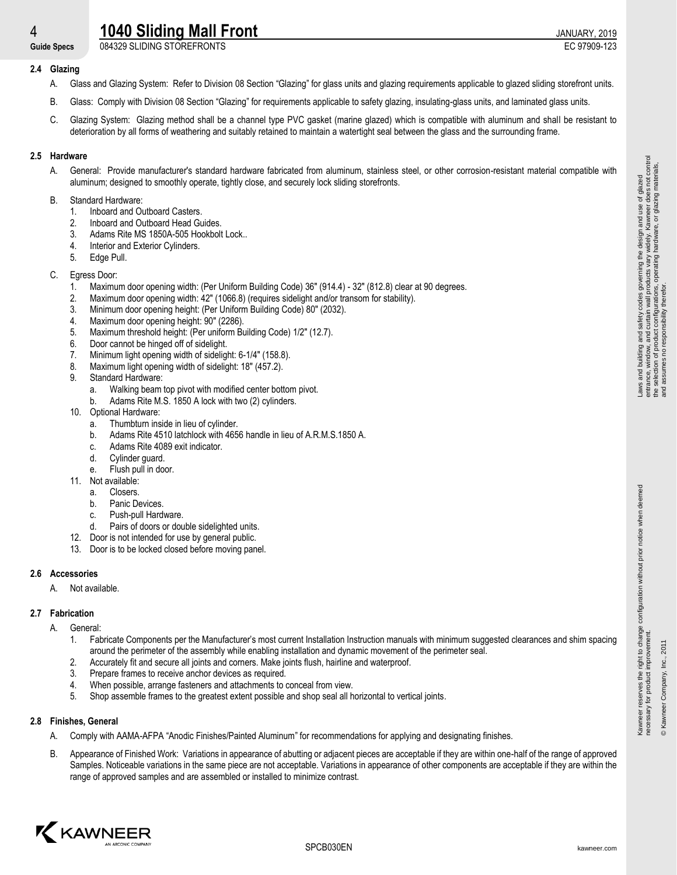# **4 1040 Sliding Mall Front 1040 Sliding Mall Front**

**Guide Specs** 084329 SLIDING STOREFRONTS EC 97909-123

# **2.4 Glazing**

- A. Glass and Glazing System: Refer to Division 08 Section "Glazing" for glass units and glazing requirements applicable to glazed sliding storefront units.
- B. Glass: Comply with Division 08 Section "Glazing" for requirements applicable to safety glazing, insulating-glass units, and laminated glass units.
- C. Glazing System: Glazing method shall be a channel type PVC gasket (marine glazed) which is compatible with aluminum and shall be resistant to deterioration by all forms of weathering and suitably retained to maintain a watertight seal between the glass and the surrounding frame.

# **2.5 Hardware**

A. General: Provide manufacturer's standard hardware fabricated from aluminum, stainless steel, or other corrosion-resistant material compatible with aluminum; designed to smoothly operate, tightly close, and securely lock sliding storefronts.

# B. Standard Hardware:

- 1. Inboard and Outboard Casters.
- 2. Inboard and Outboard Head Guides.
- 3. Adams Rite MS 1850A-505 Hookbolt Lock..
- 4. Interior and Exterior Cylinders.
- 5. Edge Pull.

# C. Egress Door:

- 1. Maximum door opening width: (Per Uniform Building Code) 36" (914.4) 32" (812.8) clear at 90 degrees.
- 2. Maximum door opening width: 42" (1066.8) (requires sidelight and/or transom for stability).
- 3. Minimum door opening height: (Per Uniform Building Code) 80" (2032).
- 4. Maximum door opening height: 90" (2286).
- 5. Maximum threshold height: (Per uniform Building Code) 1/2" (12.7).
- 6. Door cannot be hinged off of sidelight.
- 7. Minimum light opening width of sidelight: 6-1/4" (158.8).
- 8. Maximum light opening width of sidelight: 18" (457.2).
- 9. Standard Hardware:
	- a. Walking beam top pivot with modified center bottom pivot.
	- b. Adams Rite M.S. 1850 A lock with two (2) cylinders.
- 10. Optional Hardware:
	- a. Thumbturn inside in lieu of cylinder.
	- b. Adams Rite 4510 latchlock with 4656 handle in lieu of A.R.M.S.1850 A.
	- c. Adams Rite 4089 exit indicator.
	- d. Cylinder guard.
	- e. Flush pull in door.
- 11. Not available:
	- a. Closers.
	- b. Panic Devices.
	- c. Push-pull Hardware.
	- d. Pairs of doors or double sidelighted units.
- 12. Door is not intended for use by general public.
- 13. Door is to be locked closed before moving panel.

# **2.6 Accessories**

A. Not available.

# **2.7 Fabrication**

- A. General:
	- 1. Fabricate Components per the Manufacturer's most current Installation Instruction manuals with minimum suggested clearances and shim spacing around the perimeter of the assembly while enabling installation and dynamic movement of the perimeter seal.
	- 2. Accurately fit and secure all joints and corners. Make joints flush, hairline and waterproof.
	- 3. Prepare frames to receive anchor devices as required.
	- 4. When possible, arrange fasteners and attachments to conceal from view.
	- 5. Shop assemble frames to the greatest extent possible and shop seal all horizontal to vertical joints.

# **2.8 Finishes, General**

- A. Comply with AAMA-AFPA "Anodic Finishes/Painted Aluminum" for recommendations for applying and designating finishes.
- B. Appearance of Finished Work: Variations in appearance of abutting or adjacent pieces are acceptable if they are within one-half of the range of approved Samples. Noticeable variations in the same piece are not acceptable. Variations in appearance of other components are acceptable if they are within the range of approved samples and are assembled or installed to minimize contrast.



Kawneer reserves the right to change configuration without prior notice when deemed

Kawneer reserves the right to change configuration without prior notice when deemed<br>necessary for product improvement.

necessary for product improvement. © Kawneer Company, Inc., 2011

® Kawneer Company, Inc., 201